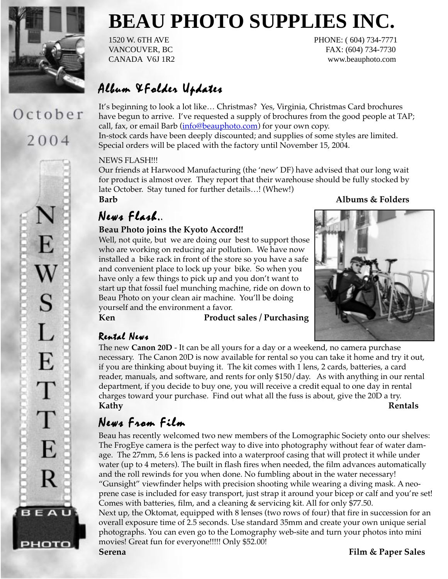

# October 2004



# **BEAU PHOTO SUPPLIES INC.**

1520 W. 6TH AVE PHONE: (604) 734-7771 VANCOUVER, BC FAX: (604) 734-7730 CANADA V6J 1R2 www.beauphoto.com

## Album & Folder Updates

It's beginning to look a lot like… Christmas? Yes, Virginia, Christmas Card brochures have begun to arrive. I've requested a supply of brochures from the good people at TAP; call, fax, or email Barb (info@beauphoto.com) for your own copy. In-stock cards have been deeply discounted; and supplies of some styles are limited. Special orders will be placed with the factory until November 15, 2004.

#### NEWS FLASH!!!

Our friends at Harwood Manufacturing (the 'new' DF) have advised that our long wait for product is almost over. They report that their warehouse should be fully stocked by late October. Stay tuned for further details…! (Whew!)

## News Flash..

#### **Beau Photo joins the Kyoto Accord!!**

Well, not quite, but we are doing our best to support those who are working on reducing air pollution. We have now installed a bike rack in front of the store so you have a safe and convenient place to lock up your bike. So when you have only a few things to pick up and you don't want to start up that fossil fuel munching machine, ride on down to Beau Photo on your clean air machine. You'll be doing yourself and the environment a favor.

**Ken Product sales / Purchasing**

## **Barb Albums & Folders**



## Rental News

The new **Canon 20D** - It can be all yours for a day or a weekend, no camera purchase necessary. The Canon 20D is now available for rental so you can take it home and try it out, if you are thinking about buying it. The kit comes with 1 lens, 2 cards, batteries, a card reader, manuals, and software, and rents for only \$150/day. As with anything in our rental department, if you decide to buy one, you will receive a credit equal to one day in rental charges toward your purchase. Find out what all the fuss is about, give the 20D a try. **Kathy Rentals**

## News From Film

Beau has recently welcomed two new members of the Lomographic Society onto our shelves: The FrogEye camera is the perfect way to dive into photography without fear of water damage. The 27mm, 5.6 lens is packed into a waterproof casing that will protect it while under water (up to 4 meters). The built in flash fires when needed, the film advances automatically and the roll rewinds for you when done. No fumbling about in the water necessary! "Gunsight" viewfinder helps with precision shooting while wearing a diving mask. A neoprene case is included for easy transport, just strap it around your bicep or calf and you're set! Comes with batteries, film, and a cleaning & servicing kit. All for only \$77.50.

Next up, the Oktomat, equipped with 8 lenses (two rows of four) that fire in succession for an overall exposure time of 2.5 seconds. Use standard 35mm and create your own unique serial photographs. You can even go to the Lomography web-site and turn your photos into mini movies! Great fun for everyone!!!!! Only \$52.00!

**Serena Film & Paper Sales**